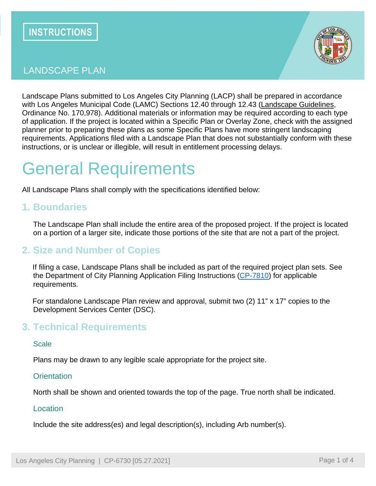

# LANDSCAPE PLAN

Landscape Plans submitted to Los Angeles City Planning (LACP) shall be prepared in accordance with Los Angeles Municipal Code (LAMC) Sections 12.40 through 12.43 [\(Landscape Guidelines,](https://planning.lacity.org/odocument/3de931fb-5553-4db1-8d0b-a1b4fcfaf0d5/Landscape%20Guidelines%20%5bCity%20of%20Los%20Angeles%20Landscape%20Ordinance%20Guidelines%5d.pdf) Ordinance No. 170,978). Additional materials or information may be required according to each type of application. If the project is located within a Specific Plan or Overlay Zone, check with the assigned planner prior to preparing these plans as some Specific Plans have more stringent landscaping requirements. Applications filed with a Landscape Plan that does not substantially conform with these instructions, or is unclear or illegible, will result in entitlement processing delays.

# General Requirements

All Landscape Plans shall comply with the specifications identified below:

## **1. Boundaries**

The Landscape Plan shall include the entire area of the proposed project. If the project is located on a portion of a larger site, indicate those portions of the site that are not a part of the project.

## **2. Size and Number of Copies**

If filing a case, Landscape Plans shall be included as part of the required project plan sets. See the Department of City Planning Application Filing Instructions [\(CP-7810\)](https://planning.lacity.org/odocument/b3cd2983-ed8d-4ec2-bedc-eb7c3d940c9a/Department%20of%20City%20Planning%20Application%20Filing%20Instructions.pdf) for applicable requirements.

For standalone Landscape Plan review and approval, submit two (2) 11" x 17" copies to the Development Services Center (DSC).

## **3. Technical Requirements**

#### **Scale**

Plans may be drawn to any legible scale appropriate for the project site.

#### **Orientation**

North shall be shown and oriented towards the top of the page. True north shall be indicated.

#### **Location**

Include the site address(es) and legal description(s), including Arb number(s).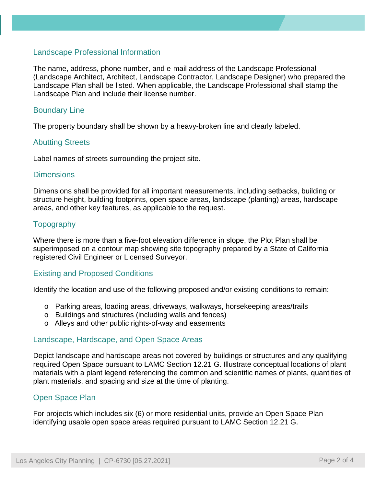#### Landscape Professional Information

The name, address, phone number, and e-mail address of the Landscape Professional (Landscape Architect, Architect, Landscape Contractor, Landscape Designer) who prepared the Landscape Plan shall be listed. When applicable, the Landscape Professional shall stamp the Landscape Plan and include their license number.

#### Boundary Line

The property boundary shall be shown by a heavy-broken line and clearly labeled.

#### Abutting Streets

Label names of streets surrounding the project site.

#### **Dimensions**

Dimensions shall be provided for all important measurements, including setbacks, building or structure height, building footprints, open space areas, landscape (planting) areas, hardscape areas, and other key features, as applicable to the request.

#### **Topography**

Where there is more than a five-foot elevation difference in slope, the Plot Plan shall be superimposed on a contour map showing site topography prepared by a State of California registered Civil Engineer or Licensed Surveyor.

#### Existing and Proposed Conditions

Identify the location and use of the following proposed and/or existing conditions to remain:

- o Parking areas, loading areas, driveways, walkways, horsekeeping areas/trails
- o Buildings and structures (including walls and fences)
- o Alleys and other public rights-of-way and easements

#### Landscape, Hardscape, and Open Space Areas

Depict landscape and hardscape areas not covered by buildings or structures and any qualifying required Open Space pursuant to LAMC Section 12.21 G. Illustrate conceptual locations of plant materials with a plant legend referencing the common and scientific names of plants, quantities of plant materials, and spacing and size at the time of planting.

#### Open Space Plan

For projects which includes six (6) or more residential units, provide an Open Space Plan identifying usable open space areas required pursuant to LAMC Section 12.21 G.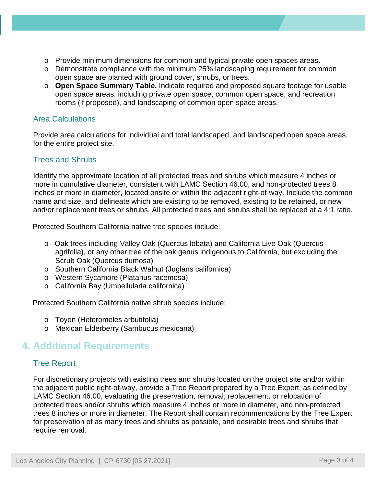- o Provide minimum dimensions for common and typical private open spaces areas.
- o Demonstrate compliance with the minimum 25% landscaping requirement for common open space are planted with ground cover, shrubs, or trees.
- o **Open Space Summary Table.** Indicate required and proposed square footage for usable open space areas, including private open space, common open space, and recreation rooms (if proposed), and landscaping of common open space areas.

### Area Calculations

Provide area calculations for individual and total landscaped, and landscaped open space areas, for the entire project site.

## Trees and Shrubs

Identify the approximate location of all protected trees and shrubs which measure 4 inches or more in cumulative diameter, consistent with LAMC Section 46.00, and non-protected trees 8 inches or more in diameter, located onsite or within the adjacent right-of-way. Include the common name and size, and delineate which are existing to be removed, existing to be retained, or new and/or replacement trees or shrubs. All protected trees and shrubs shall be replaced at a 4:1 ratio.

Protected Southern California native tree species include:

- o Oak trees including Valley Oak (Quercus lobata) and California Live Oak (Quercus agrifolia), or any other tree of the oak genus indigenous to California, but excluding the Scrub Oak (Quercus dumosa)
- o Southern California Black Walnut (Juglans californica)
- o Western Sycamore (Platanus racemosa)
- o California Bay (Umbellularia californica)

Protected Southern California native shrub species include:

- o Toyon (Heteromeles arbutifolia)
- o Mexican Elderberry (Sambucus mexicana)

# **4. Additional Requirements**

## Tree Report

For discretionary projects with existing trees and shrubs located on the project site and/or within the adjacent public right-of-way, provide a Tree Report prepared by a Tree Expert, as defined by LAMC Section 46.00, evaluating the preservation, removal, replacement, or relocation of protected trees and/or shrubs which measure 4 inches or more in diameter, and non-protected trees 8 inches or more in diameter. The Report shall contain recommendations by the Tree Expert for preservation of as many trees and shrubs as possible, and desirable trees and shrubs that require removal.